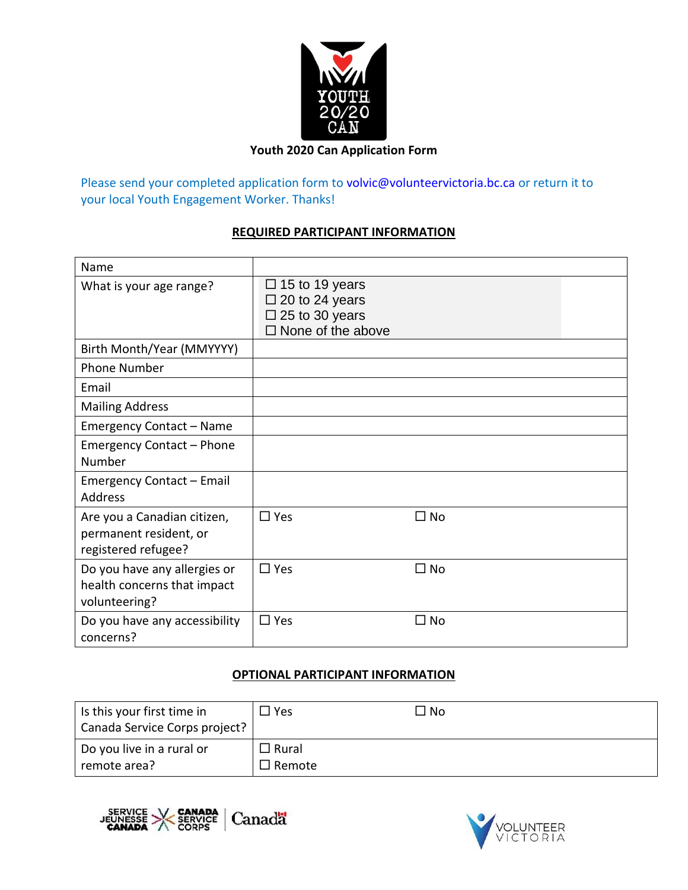

### **Youth 2020 Can Application Form**

Please send your completed application form to [volvic@volunteervictoria.bc.ca](mailto:volvic@volunteervictoria.bc.ca) or return it to your local Youth Engagement Worker. Thanks!

#### **REQUIRED PARTICIPANT INFORMATION**

| Name                             |                                                |              |
|----------------------------------|------------------------------------------------|--------------|
| What is your age range?          | $\Box$ 15 to 19 years<br>$\Box$ 20 to 24 years |              |
|                                  | $\square$ 25 to 30 years                       |              |
|                                  | $\Box$ None of the above                       |              |
| Birth Month/Year (MMYYYY)        |                                                |              |
| <b>Phone Number</b>              |                                                |              |
| Email                            |                                                |              |
| <b>Mailing Address</b>           |                                                |              |
| <b>Emergency Contact - Name</b>  |                                                |              |
| <b>Emergency Contact - Phone</b> |                                                |              |
| Number                           |                                                |              |
| <b>Emergency Contact - Email</b> |                                                |              |
| <b>Address</b>                   |                                                |              |
| Are you a Canadian citizen,      | $\Box$ Yes                                     | $\square$ No |
| permanent resident, or           |                                                |              |
| registered refugee?              |                                                |              |
| Do you have any allergies or     | $\Box$ Yes                                     | $\Box$ No    |
| health concerns that impact      |                                                |              |
| volunteering?                    |                                                |              |
| Do you have any accessibility    | $\Box$ Yes                                     | $\square$ No |
| concerns?                        |                                                |              |

## **OPTIONAL PARTICIPANT INFORMATION**

| Is this your first time in<br>Canada Service Corps project? | $\Box$ Yes                    | □ No |
|-------------------------------------------------------------|-------------------------------|------|
| Do you live in a rural or<br>remote area?                   | $\Box$ Rural<br>$\Box$ Remote |      |



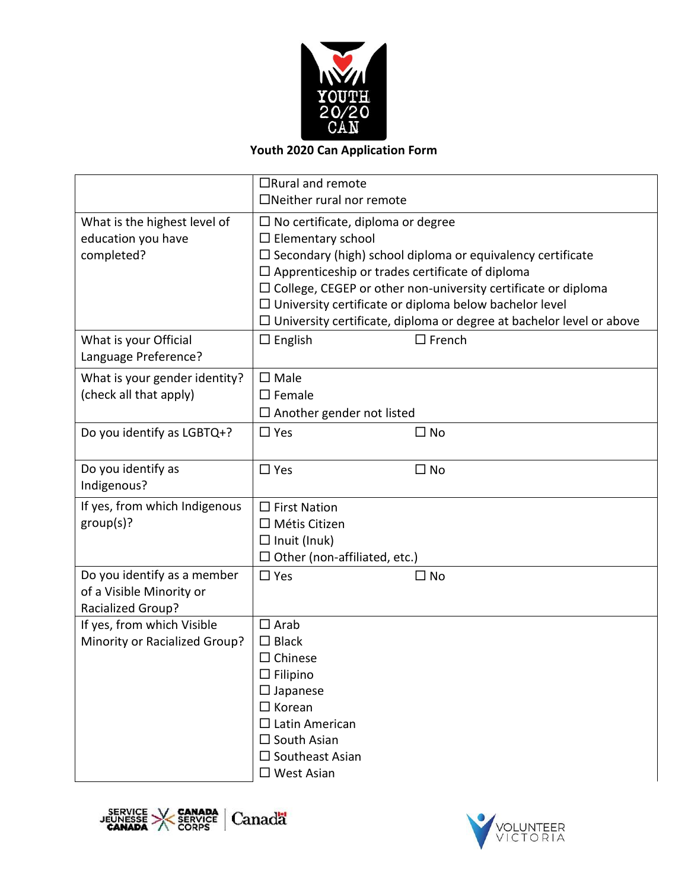

# **Youth 2020 Can Application Form**

|                                                                                     | $\Box$ Rural and remote<br>$\Box$ Neither rural nor remote                                                                                                                                                                                                                                                                                                                                                                     |  |  |
|-------------------------------------------------------------------------------------|--------------------------------------------------------------------------------------------------------------------------------------------------------------------------------------------------------------------------------------------------------------------------------------------------------------------------------------------------------------------------------------------------------------------------------|--|--|
| What is the highest level of<br>education you have<br>completed?                    | $\Box$ No certificate, diploma or degree<br>$\Box$ Elementary school<br>$\square$ Secondary (high) school diploma or equivalency certificate<br>$\Box$ Apprenticeship or trades certificate of diploma<br>$\Box$ College, CEGEP or other non-university certificate or diploma<br>$\Box$ University certificate or diploma below bachelor level<br>$\Box$ University certificate, diploma or degree at bachelor level or above |  |  |
| What is your Official<br>Language Preference?                                       | $\square$ French<br>$\Box$ English                                                                                                                                                                                                                                                                                                                                                                                             |  |  |
| What is your gender identity?<br>(check all that apply)                             | $\square$ Male<br>$\square$ Female<br>$\Box$ Another gender not listed                                                                                                                                                                                                                                                                                                                                                         |  |  |
| Do you identify as LGBTQ+?                                                          | $\Box$ Yes<br>$\square$ No                                                                                                                                                                                                                                                                                                                                                                                                     |  |  |
| Do you identify as<br>Indigenous?                                                   | $\square$ Yes<br>$\square$ No                                                                                                                                                                                                                                                                                                                                                                                                  |  |  |
| If yes, from which Indigenous<br>group(s)?                                          | $\Box$ First Nation<br>$\Box$ Métis Citizen<br>$\Box$ Inuit (Inuk)<br>$\Box$ Other (non-affiliated, etc.)                                                                                                                                                                                                                                                                                                                      |  |  |
| Do you identify as a member<br>of a Visible Minority or<br><b>Racialized Group?</b> | $\Box$ Yes<br>$\square$ No                                                                                                                                                                                                                                                                                                                                                                                                     |  |  |
| If yes, from which Visible<br>Minority or Racialized Group?                         | $\square$ Arab<br>$\Box$ Black<br>$\Box$ Chinese<br>$\Box$ Filipino<br>$\square$ Japanese<br>$\Box$ Korean<br>$\Box$ Latin American<br>$\Box$ South Asian<br>$\Box$ Southeast Asian<br>$\square$ West Asian                                                                                                                                                                                                                    |  |  |